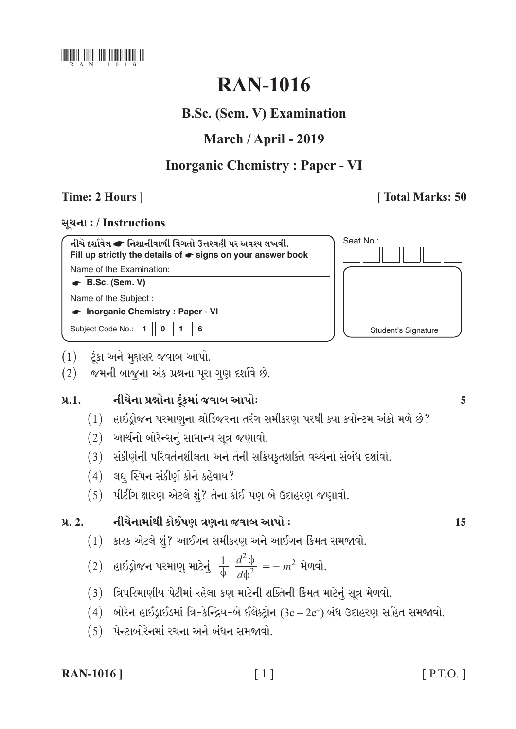

# **RAN-1016**

## **B.Sc. (Sem. V) Examination**

## March / April - 2019

## **Inorganic Chemistry: Paper - VI**

## Time: 2 Hours 1

## [Total Marks: 50

### સૂચના: / Instructions

| નીચે દર્શાવેલ ☞ નિશાનીવાળી વિગતો ઉત્તરવહી પર અવશ્ય લખવી.<br>Fill up strictly the details of $\bullet$ signs on your answer book |
|---------------------------------------------------------------------------------------------------------------------------------|
| Name of the Examination:                                                                                                        |
| $\bullet$ B.Sc. (Sem. V)                                                                                                        |
| Name of the Subject:                                                                                                            |
| • Inorganic Chemistry: Paper - VI                                                                                               |
| Subject Code No.: $\mid 1 \mid$<br>$0 \parallel 1$<br>6                                                                         |

| Seat No.:           |  |
|---------------------|--|
|                     |  |
|                     |  |
|                     |  |
| Student's Signature |  |

- $(1)$  ટૂંકા અને મુદ્દાસર જવાબ આપો.
- $(2)$  જમની બાજુના અંક પ્રશ્નના પૂરા ગુણ દર્શાવે છે.

#### નીચેના પ્રશ્નોના ટૂંકમાં જવાબ આપોઃ  $9.1.$

- (1) હાઇડ્રોજન પરમાણુના શ્રોડિજરના તરંગ સમીકરણ પરથી ક્યા ક્વોન્ટમ અંકો મળે છે?
- $(2)$  આર્ચનો બોરેન્સનું સામાન્ય સૂત્ર જણાવો.
- (3) સંકીર્ણની પરિવર્તનશીલતા અને તેની સક્રિયકૃતશક્તિ વચ્ચેનો સંબંધ દર્શાવો.
- $(4)$  લઘુ સ્પિન સંકીર્ણ કોને કહેવાય?
- $(5)$  પીટીંગ ક્ષારણ એટલે શું? તેના કોઈ પણ બે ઉદાહરણ જણાવો.

#### નીચેનામાંથી કોઈપણ ત્રણના જવાબ આપો ઃ  $9.2.$

 $(1)$  કારક એટલે શું? આઈગન સમીકરણ અને આઈગન કિંમત સમજાવો.

(2) હાઇડ્રોજન પરમાણુ માટેનું 
$$
\frac{1}{\phi} \cdot \frac{d^2 \phi}{d\phi^2} = -m^2
$$
 મેળવો.

- (3) ત્રિપરિમાણીય પેટીમાં રહેલા કણ માટેની શક્તિની કિંમત માટેનું સૂત્ર મેળવો.
- $(4)$  બોરેન હાઈડ્રાઈડમાં ત્રિ-કેન્દ્રિય-બે ઈલેક્ટ્રોન  $(3c-2e^-)$  બંધ ઉદાહરણ સહિત સમજાવો.
- $(5)$  પેન્ટાબોરેનમાં રચના અને બંધન સમજાવો.

### **RAN-1016** |

5

15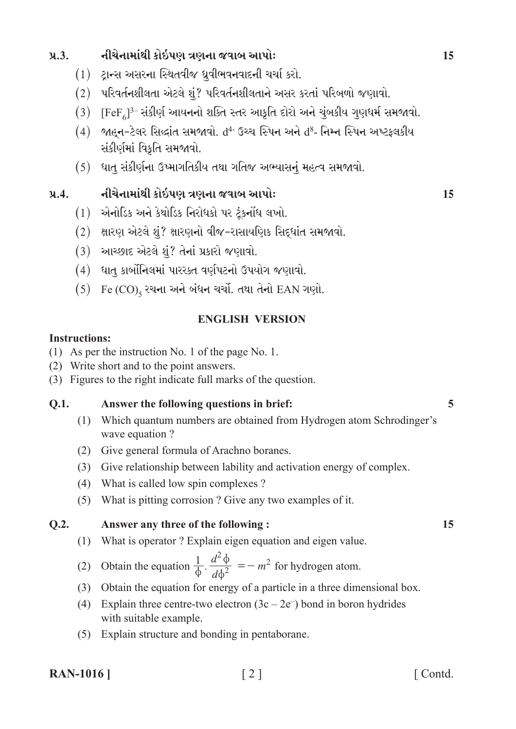#### નીચેનામાંથી કોઇપણ ત્રણના જવાબ આપોઃ  $9.3.$

- $(1)$  ટાન્સ અસરના સ્થિતવીજ ધ્રુવીભવનવાદની ચર્ચા કરો.
- $(2)$  પરિવર્તનશીલતા એટલે શું? પરિવર્તનશીલતાને અસર કરતાં પરિબળો જણાવો.
- $(3)$  [FeF]<sup>3-</sup> સંકીર્ણ આયનનો શક્તિ સ્તર આકૃતિ દોરો અને ચુંબકીય ગુણધર્મ સમજાવો.
- $(4)$  જાહન-ટેલર સિલ્ફાંત સમજાવો.  $d^4$  ઉચ્ચ સ્પિન અને  $d^8$  નિમ્ન સ્પિન અષ્ટફલકીય સંકીર્ણમાં વિકતિ સમજાવો.
- (5) ધાતુ સંકીર્ણના ઉષ્માગતિકીય તથા ગતિજ અભ્યાસનું મહત્વ સમજાવો.

#### નીચેનામાંથી કોઇપણ ત્રણના જવાબ આપોઃ  $9.4.$

- $(1)$  એનોડિક અને કેથોડિક નિરોધકો પર ટંકનોંધ લખો.
- (2) ક્ષારણ એટલે શું? ક્ષારણનો વીજ-રાસાયણિક સિદ્ધાંત સમજાવો.
- $(3)$  આચ્છાદ એટલે શું? તેનાં પ્રકારો જણાવો.
- (4) ધાત કાર્બોનિલમાં પારસ્કત વર્ણપટનો ઉપયોગ જણાવો.
- $(5)$  Fe  $(CO)_{5}$  રચના અને બંધન ચર્ચો. તથા તેનો EAN ગણો.

### **ENGLISH VERSION**

### **Instructions:**

- (1) As per the instruction No. 1 of the page No. 1.
- (2) Write short and to the point answers.
- (3) Figures to the right indicate full marks of the question.

#### Answer the following questions in brief: Q.1.

- (1) Which quantum numbers are obtained from Hydrogen atom Schrodinger's wave equation?
- (2) Give general formula of Arachno boranes.
- (3) Give relationship between lability and activation energy of complex.
- (4) What is called low spin complexes?
- (5) What is pitting corrosion? Give any two examples of it.

#### $O.2.$ Answer any three of the following:

- (1) What is operator? Explain eigen equation and eigen value.
- (2) Obtain the equation  $\frac{1}{\phi} \cdot \frac{d^2 \phi}{d \phi^2} = -m^2$  for hydrogen atom.
- (3) Obtain the equation for energy of a particle in a three dimensional box.
- (4) Explain three centre-two electron  $(3c 2e^{-})$  bond in boron hydrides with suitable example.
- (5) Explain structure and bonding in pentaborane.

**RAN-1016** |

[Contd.

5

15